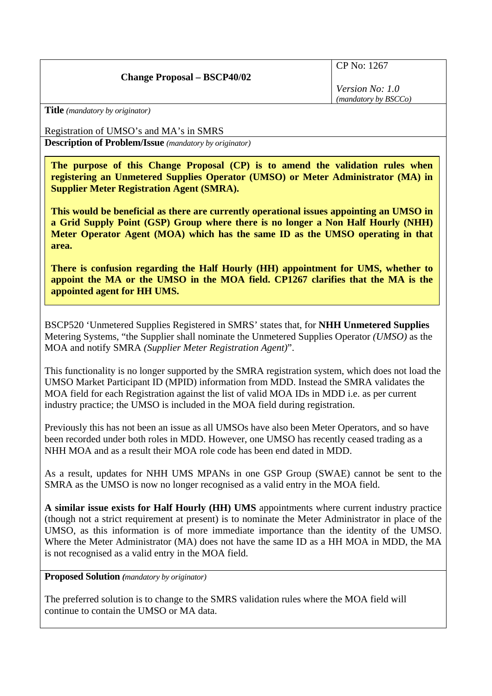## **Change Proposal – BSCP40/02**

CP No: 1267

*Version No: 1.0 (mandatory by BSCCo)*

**Title** *(mandatory by originator)* 

Registration of UMSO's and MA's in SMRS

**Description of Problem/Issue** *(mandatory by originator)* 

**The purpose of this Change Proposal (CP) is to amend the validation rules when registering an Unmetered Supplies Operator (UMSO) or Meter Administrator (MA) in Supplier Meter Registration Agent (SMRA).** 

**This would be beneficial as there are currently operational issues appointing an UMSO in a Grid Supply Point (GSP) Group where there is no longer a Non Half Hourly (NHH) Meter Operator Agent (MOA) which has the same ID as the UMSO operating in that area.** 

**There is confusion regarding the Half Hourly (HH) appointment for UMS, whether to appoint the MA or the UMSO in the MOA field. CP1267 clarifies that the MA is the appointed agent for HH UMS.** 

BSCP520 'Unmetered Supplies Registered in SMRS' states that, for **NHH Unmetered Supplies** Metering Systems, "the Supplier shall nominate the Unmetered Supplies Operator *(UMSO)* as the MOA and notify SMRA *(Supplier Meter Registration Agent)*".

This functionality is no longer supported by the SMRA registration system, which does not load the UMSO Market Participant ID (MPID) information from MDD. Instead the SMRA validates the MOA field for each Registration against the list of valid MOA IDs in MDD i.e. as per current industry practice; the UMSO is included in the MOA field during registration.

Previously this has not been an issue as all UMSOs have also been Meter Operators, and so have been recorded under both roles in MDD. However, one UMSO has recently ceased trading as a NHH MOA and as a result their MOA role code has been end dated in MDD.

As a result, updates for NHH UMS MPANs in one GSP Group (SWAE) cannot be sent to the SMRA as the UMSO is now no longer recognised as a valid entry in the MOA field.

**A similar issue exists for Half Hourly (HH) UMS** appointments where current industry practice (though not a strict requirement at present) is to nominate the Meter Administrator in place of the UMSO, as this information is of more immediate importance than the identity of the UMSO. Where the Meter Administrator (MA) does not have the same ID as a HH MOA in MDD, the MA is not recognised as a valid entry in the MOA field.

**Proposed Solution** *(mandatory by originator)* 

The preferred solution is to change to the SMRS validation rules where the MOA field will continue to contain the UMSO or MA data.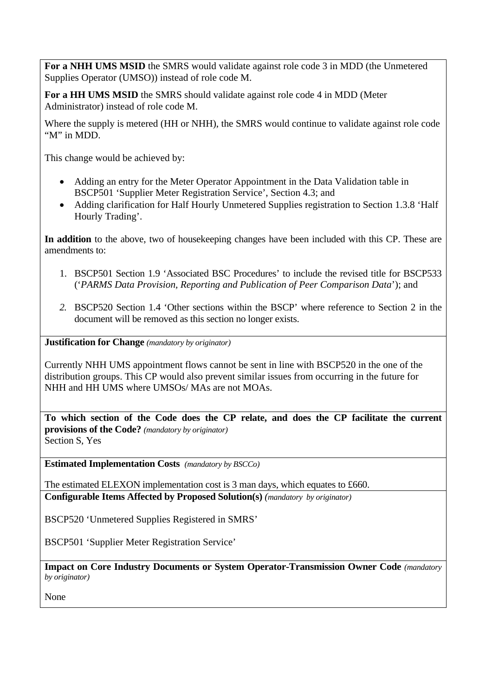**For a NHH UMS MSID** the SMRS would validate against role code 3 in MDD (the Unmetered Supplies Operator (UMSO)) instead of role code M.

**For a HH UMS MSID** the SMRS should validate against role code 4 in MDD (Meter Administrator) instead of role code M.

Where the supply is metered (HH or NHH), the SMRS would continue to validate against role code "M" in MDD.

This change would be achieved by:

- Adding an entry for the Meter Operator Appointment in the Data Validation table in BSCP501 'Supplier Meter Registration Service', Section 4.3; and
- Adding clarification for Half Hourly Unmetered Supplies registration to Section 1.3.8 'Half Hourly Trading'.

**In addition** to the above, two of housekeeping changes have been included with this CP. These are amendments to:

- 1. BSCP501 Section 1.9 'Associated BSC Procedures' to include the revised title for BSCP533 ('*PARMS Data Provision, Reporting and Publication of Peer Comparison Data*'); and
- *2.* BSCP520 Section 1.4 'Other sections within the BSCP' where reference to Section 2 in the document will be removed as this section no longer exists.

**Justification for Change** *(mandatory by originator)* 

Currently NHH UMS appointment flows cannot be sent in line with BSCP520 in the one of the distribution groups. This CP would also prevent similar issues from occurring in the future for NHH and HH UMS where UMSOs/ MAs are not MOAs.

**To which section of the Code does the CP relate, and does the CP facilitate the current provisions of the Code?** *(mandatory by originator)*  Section S, Yes

**Estimated Implementation Costs** *(mandatory by BSCCo)* 

The estimated ELEXON implementation cost is 3 man days, which equates to £660. **Configurable Items Affected by Proposed Solution(s)** *(mandatory by originator)* 

BSCP520 'Unmetered Supplies Registered in SMRS'

BSCP501 'Supplier Meter Registration Service'

**Impact on Core Industry Documents or System Operator-Transmission Owner Code** *(mandatory by originator)* 

None